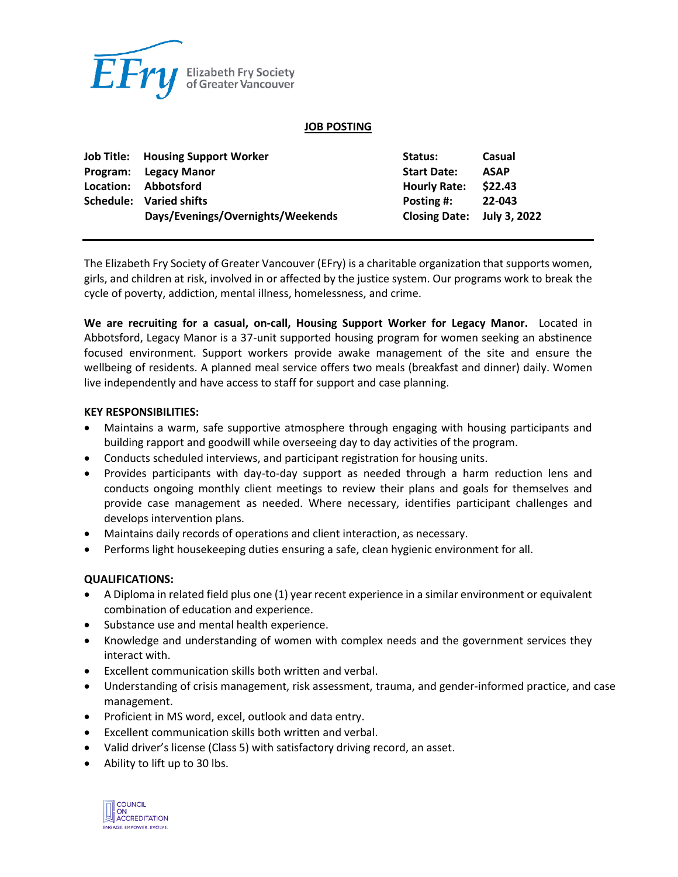

#### **JOB POSTING**

| <b>Job Title: Housing Support Worker</b> | Status:                    | Casual      |
|------------------------------------------|----------------------------|-------------|
| Program: Legacy Manor                    | <b>Start Date:</b>         | <b>ASAP</b> |
| Location: Abbotsford                     | <b>Hourly Rate:</b>        | \$22.43     |
| Schedule: Varied shifts                  | Posting #:                 | 22-043      |
| Days/Evenings/Overnights/Weekends        | Closing Date: July 3, 2022 |             |

The Elizabeth Fry Society of Greater Vancouver (EFry) is a charitable organization that supports women, girls, and children at risk, involved in or affected by the justice system. Our programs work to break the cycle of poverty, addiction, mental illness, homelessness, and crime.

**We are recruiting for a casual, on-call, Housing Support Worker for Legacy Manor.** Located in Abbotsford, Legacy Manor is a 37-unit supported housing program for women seeking an abstinence focused environment. Support workers provide awake management of the site and ensure the wellbeing of residents. A planned meal service offers two meals (breakfast and dinner) daily. Women live independently and have access to staff for support and case planning.

### **KEY RESPONSIBILITIES:**

- Maintains a warm, safe supportive atmosphere through engaging with housing participants and building rapport and goodwill while overseeing day to day activities of the program.
- Conducts scheduled interviews, and participant registration for housing units.
- Provides participants with day-to-day support as needed through a harm reduction lens and conducts ongoing monthly client meetings to review their plans and goals for themselves and provide case management as needed. Where necessary, identifies participant challenges and develops intervention plans.
- Maintains daily records of operations and client interaction, as necessary.
- Performs light housekeeping duties ensuring a safe, clean hygienic environment for all.

## **QUALIFICATIONS:**

- A Diploma in related field plus one (1) year recent experience in a similar environment or equivalent combination of education and experience.
- Substance use and mental health experience.
- Knowledge and understanding of women with complex needs and the government services they interact with.
- Excellent communication skills both written and verbal.
- Understanding of crisis management, risk assessment, trauma, and gender-informed practice, and case management.
- Proficient in MS word, excel, outlook and data entry.
- Excellent communication skills both written and verbal.
- Valid driver's license (Class 5) with satisfactory driving record, an asset.
- Ability to lift up to 30 lbs.